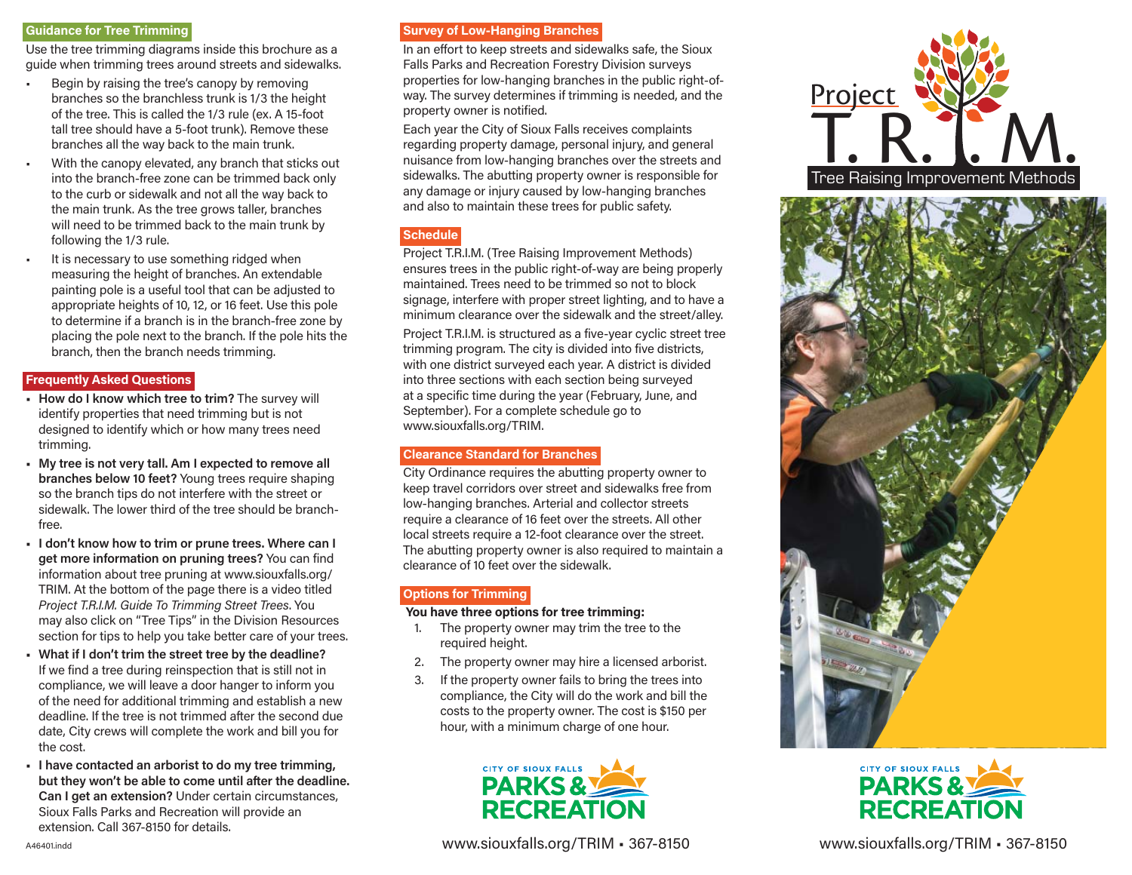#### **Guidance for Tree Trimming**

Use the tree trimming diagrams inside this brochure as a guide when trimming trees around streets and sidewalks.

- Begin by raising the tree's canopy by removing branches so the branchless trunk is 1/3 the height of the tree. This is called the 1/3 rule (ex. A 15-foot tall tree should have a 5-foot trunk). Remove these branches all the way back to the main trunk.
- With the canopy elevated, any branch that sticks out into the branch-free zone can be trimmed back only to the curb or sidewalk and not all the way back to the main trunk. As the tree grows taller, branches will need to be trimmed back to the main trunk by following the 1/3 rule.
- It is necessary to use something ridged when measuring the height of branches. An extendable painting pole is a useful tool that can be adjusted to appropriate heights of 10, 12, or 16 feet. Use this pole to determine if a branch is in the branch-free zone by placing the pole next to the branch. If the pole hits the branch, then the branch needs trimming.

## **Frequently Asked Questions**

- **How do I know which tree to trim?** The survey will identify properties that need trimming but is not designed to identify which or how many trees need trimming.
- **My tree is not very tall. Am I expected to remove all branches below 10 feet?** Young trees require shaping so the branch tips do not interfere with the street or sidewalk. The lower third of the tree should be branchfree.
- **I don't know how to trim or prune trees. Where can I get more information on pruning trees?** You can find information about tree pruning at www.siouxfalls.org/ TRIM. At the bottom of the page there is a video titled *Project T.R.I.M. Guide To Trimming Street Trees*. You may also click on "Tree Tips" in the Division Resources section for tips to help you take better care of your trees.
- **What if I don't trim the street tree by the deadline?**  If we find a tree during reinspection that is still not in compliance, we will leave a door hanger to inform you of the need for additional trimming and establish a new deadline. If the tree is not trimmed after the second due date, City crews will complete the work and bill you for the cost.
- **I have contacted an arborist to do my tree trimming, but they won't be able to come until after the deadline. Can I get an extension?** Under certain circumstances, Sioux Falls Parks and Recreation will provide an extension. Call 367-8150 for details.

## **Survey of Low-Hanging Branches**

In an effort to keep streets and sidewalks safe, the Sioux Falls Parks and Recreation Forestry Division surveys properties for low-hanging branches in the public right-ofway. The survey determines if trimming is needed, and the property owner is notified.

Each year the City of Sioux Falls receives complaints regarding property damage, personal injury, and general nuisance from low-hanging branches over the streets and sidewalks. The abutting property owner is responsible for any damage or injury caused by low-hanging branches and also to maintain these trees for public safety.

# **Schedule**

Project T.R.I.M. (Tree Raising Improvement Methods) ensures trees in the public right-of-way are being properly maintained. Trees need to be trimmed so not to block signage, interfere with proper street lighting, and to have a minimum clearance over the sidewalk and the street/alley.

Project T.R.I.M. is structured as a five-year cyclic street tree trimming program. The city is divided into five districts, with one district surveyed each year. A district is divided into three sections with each section being surveyed at a specific time during the year (February, June, and September). For a complete schedule go to www.siouxfalls.org/TRIM.

#### **Clearance Standard for Branches**

City Ordinance requires the abutting property owner to keep travel corridors over street and sidewalks free from low-hanging branches. Arterial and collector streets require a clearance of 16 feet over the streets. All other local streets require a 12-foot clearance over the street. The abutting property owner is also required to maintain a clearance of 10 feet over the sidewalk.

## **Options for Trimming**

#### **You have three options for tree trimming:**

- 1. The property owner may trim the tree to the required height.
- 2. The property owner may hire a licensed arborist.
- 3. If the property owner fails to bring the trees into compliance, the City will do the work and bill the costs to the property owner. The cost is \$150 per hour, with a minimum charge of one hour.